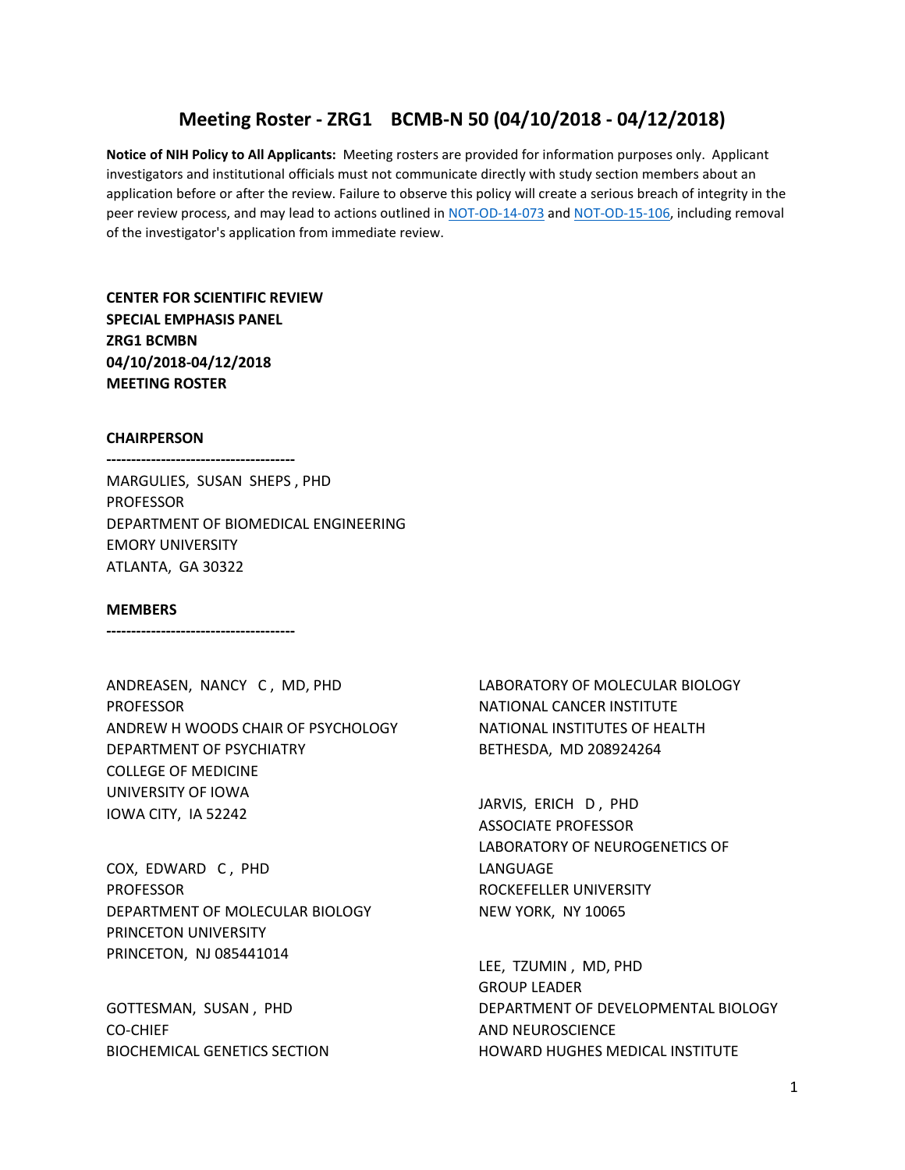# **Meeting Roster - ZRG1 BCMB-N 50 (04/10/2018 - 04/12/2018)**

**Notice of NIH Policy to All Applicants:** Meeting rosters are provided for information purposes only. Applicant investigators and institutional officials must not communicate directly with study section members about an application before or after the review. Failure to observe this policy will create a serious breach of integrity in the peer review process, and may lead to actions outlined in [NOT-OD-14-073](https://grants.nih.gov/grants/guide/notice-files/NOT-OD-14-073.html) and [NOT-OD-15-106,](https://grants.nih.gov/grants/guide/notice-files/NOT-OD-15-106.html) including removal of the investigator's application from immediate review.

**CENTER FOR SCIENTIFIC REVIEW SPECIAL EMPHASIS PANEL ZRG1 BCMBN 04/10/2018-04/12/2018 MEETING ROSTER**

#### **CHAIRPERSON**

**--------------------------------------**

MARGULIES, SUSAN SHEPS , PHD PROFESSOR DEPARTMENT OF BIOMEDICAL ENGINEERING EMORY UNIVERSITY ATLANTA, GA 30322

#### **MEMBERS**

**--------------------------------------**

ANDREASEN, NANCY C , MD, PHD PROFESSOR ANDREW H WOODS CHAIR OF PSYCHOLOGY DEPARTMENT OF PSYCHIATRY COLLEGE OF MEDICINE UNIVERSITY OF IOWA IOWA CITY, IA 52242

COX, EDWARD C , PHD PROFESSOR DEPARTMENT OF MOLECULAR BIOLOGY PRINCETON UNIVERSITY PRINCETON, NJ 085441014

GOTTESMAN, SUSAN , PHD CO-CHIEF BIOCHEMICAL GENETICS SECTION LABORATORY OF MOLECULAR BIOLOGY NATIONAL CANCER INSTITUTE NATIONAL INSTITUTES OF HEALTH BETHESDA, MD 208924264

JARVIS, ERICH D , PHD ASSOCIATE PROFESSOR LABORATORY OF NEUROGENETICS OF LANGUAGE ROCKEFELLER UNIVERSITY NEW YORK, NY 10065

LEE, TZUMIN , MD, PHD GROUP LEADER DEPARTMENT OF DEVELOPMENTAL BIOLOGY AND NEUROSCIENCE HOWARD HUGHES MEDICAL INSTITUTE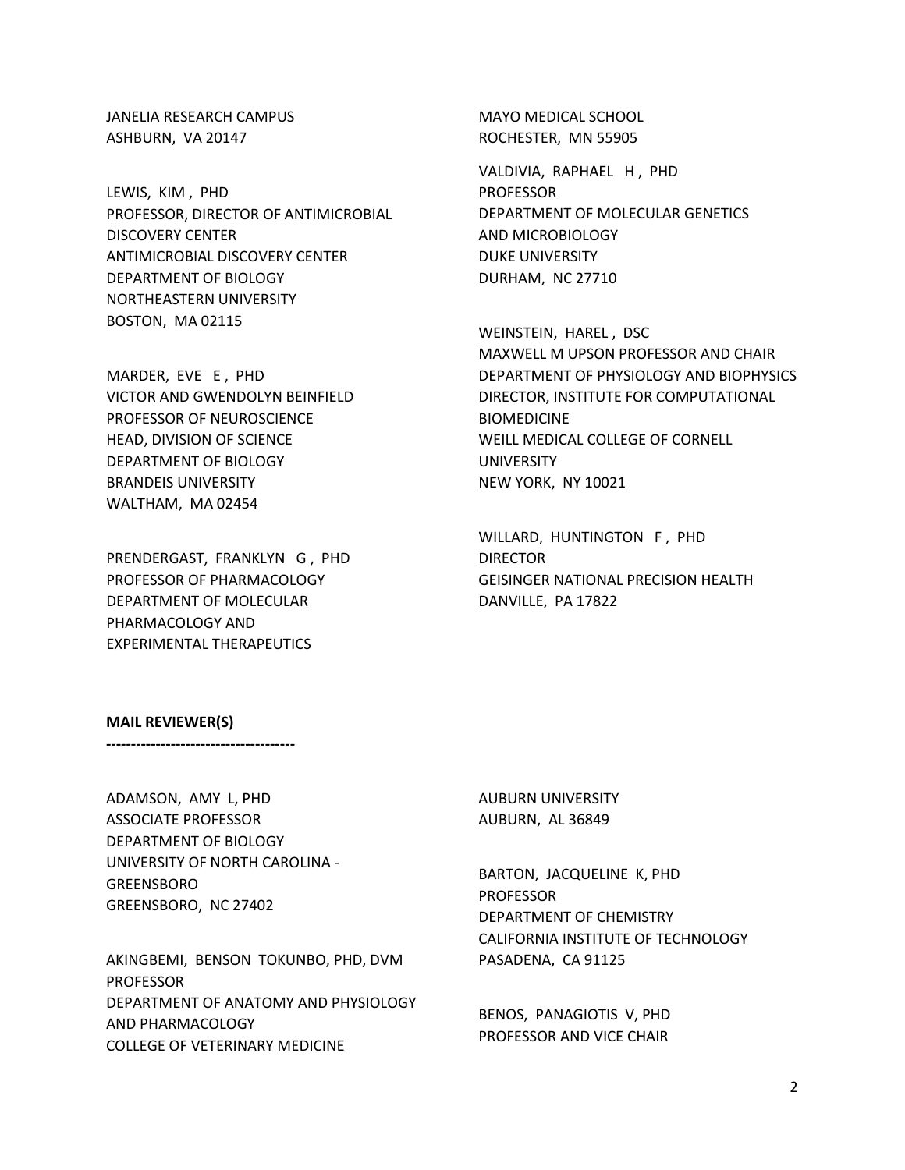JANELIA RESEARCH CAMPUS ASHBURN, VA 20147

LEWIS, KIM , PHD PROFESSOR, DIRECTOR OF ANTIMICROBIAL DISCOVERY CENTER ANTIMICROBIAL DISCOVERY CENTER DEPARTMENT OF BIOLOGY NORTHEASTERN UNIVERSITY BOSTON, MA 02115

MARDER, EVE E , PHD VICTOR AND GWENDOLYN BEINFIELD PROFESSOR OF NEUROSCIENCE HEAD, DIVISION OF SCIENCE DEPARTMENT OF BIOLOGY BRANDEIS UNIVERSITY WALTHAM, MA 02454

PRENDERGAST, FRANKLYN G , PHD PROFESSOR OF PHARMACOLOGY DEPARTMENT OF MOLECULAR PHARMACOLOGY AND EXPERIMENTAL THERAPEUTICS

MAYO MEDICAL SCHOOL ROCHESTER, MN 55905

VALDIVIA, RAPHAEL H , PHD **PROFESSOR** DEPARTMENT OF MOLECULAR GENETICS AND MICROBIOLOGY DUKE UNIVERSITY DURHAM, NC 27710

WEINSTEIN, HAREL, DSC MAXWELL M UPSON PROFESSOR AND CHAIR DEPARTMENT OF PHYSIOLOGY AND BIOPHYSICS DIRECTOR, INSTITUTE FOR COMPUTATIONAL BIOMEDICINE WEILL MEDICAL COLLEGE OF CORNELL UNIVERSITY NEW YORK, NY 10021

WILLARD, HUNTINGTON F , PHD DIRECTOR GEISINGER NATIONAL PRECISION HEALTH DANVILLE, PA 17822

### **MAIL REVIEWER(S)**

**--------------------------------------**

ADAMSON, AMY L, PHD ASSOCIATE PROFESSOR DEPARTMENT OF BIOLOGY UNIVERSITY OF NORTH CAROLINA - GREENSBORO GREENSBORO, NC 27402

AKINGBEMI, BENSON TOKUNBO, PHD, DVM PROFESSOR DEPARTMENT OF ANATOMY AND PHYSIOLOGY AND PHARMACOLOGY COLLEGE OF VETERINARY MEDICINE

AUBURN UNIVERSITY AUBURN, AL 36849

BARTON, JACQUELINE K, PHD PROFESSOR DEPARTMENT OF CHEMISTRY CALIFORNIA INSTITUTE OF TECHNOLOGY PASADENA, CA 91125

BENOS, PANAGIOTIS V, PHD PROFESSOR AND VICE CHAIR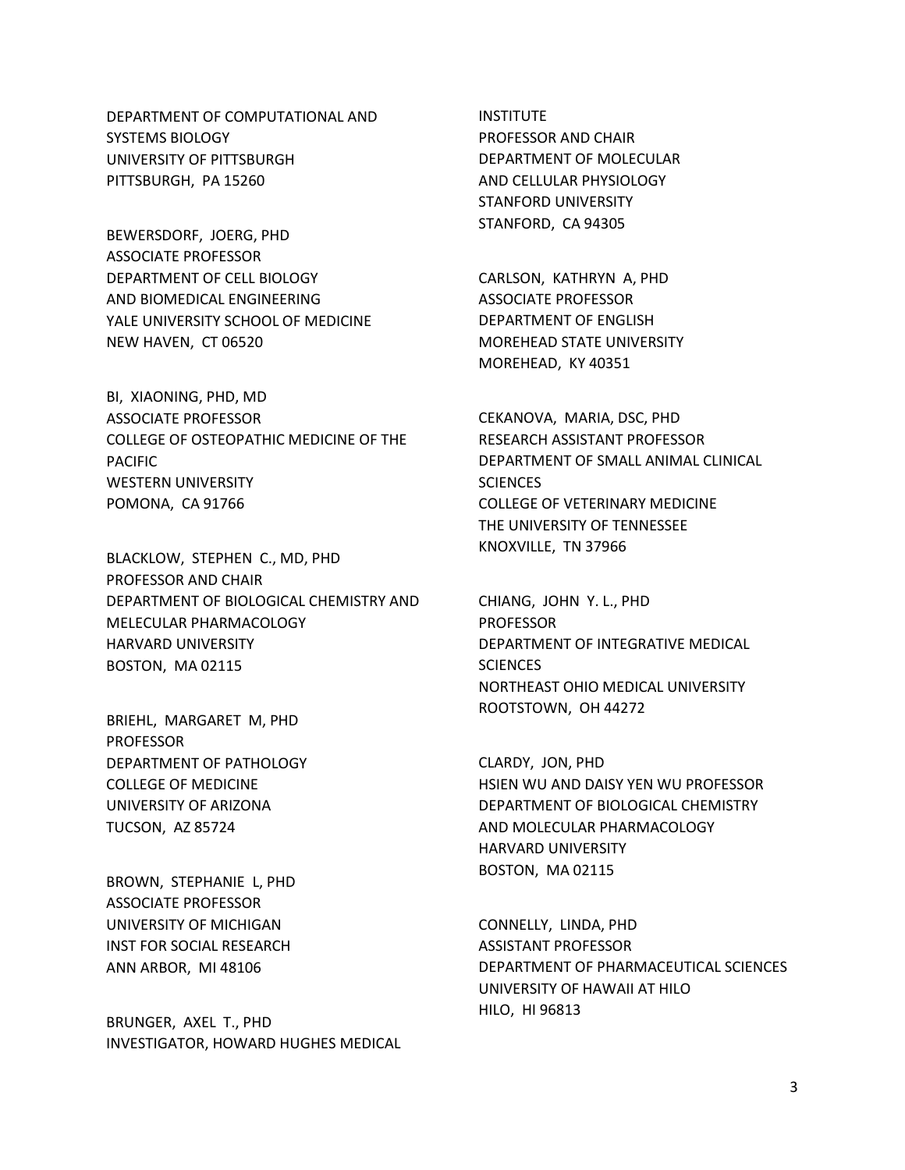DEPARTMENT OF COMPUTATIONAL AND SYSTEMS BIOLOGY UNIVERSITY OF PITTSBURGH PITTSBURGH, PA 15260

BEWERSDORF, JOERG, PHD ASSOCIATE PROFESSOR DEPARTMENT OF CELL BIOLOGY AND BIOMEDICAL ENGINEERING YALE UNIVERSITY SCHOOL OF MEDICINE NEW HAVEN, CT 06520

BI, XIAONING, PHD, MD ASSOCIATE PROFESSOR COLLEGE OF OSTEOPATHIC MEDICINE OF THE PACIFIC WESTERN UNIVERSITY POMONA, CA 91766

BLACKLOW, STEPHEN C., MD, PHD PROFESSOR AND CHAIR DEPARTMENT OF BIOLOGICAL CHEMISTRY AND MELECULAR PHARMACOLOGY HARVARD UNIVERSITY BOSTON, MA 02115

BRIEHL, MARGARET M, PHD PROFESSOR DEPARTMENT OF PATHOLOGY COLLEGE OF MEDICINE UNIVERSITY OF ARIZONA TUCSON, AZ 85724

BROWN, STEPHANIE L, PHD ASSOCIATE PROFESSOR UNIVERSITY OF MICHIGAN INST FOR SOCIAL RESEARCH ANN ARBOR, MI 48106

BRUNGER, AXEL T., PHD INVESTIGATOR, HOWARD HUGHES MEDICAL

INSTITUTE PROFESSOR AND CHAIR DEPARTMENT OF MOLECULAR AND CELLULAR PHYSIOLOGY STANFORD UNIVERSITY STANFORD, CA 94305

CARLSON, KATHRYN A, PHD ASSOCIATE PROFESSOR DEPARTMENT OF ENGLISH MOREHEAD STATE UNIVERSITY MOREHEAD, KY 40351

CEKANOVA, MARIA, DSC, PHD RESEARCH ASSISTANT PROFESSOR DEPARTMENT OF SMALL ANIMAL CLINICAL **SCIENCES** COLLEGE OF VETERINARY MEDICINE THE UNIVERSITY OF TENNESSEE KNOXVILLE, TN 37966

CHIANG, JOHN Y. L., PHD PROFESSOR DEPARTMENT OF INTEGRATIVE MEDICAL **SCIENCES** NORTHEAST OHIO MEDICAL UNIVERSITY ROOTSTOWN, OH 44272

CLARDY, JON, PHD HSIEN WU AND DAISY YEN WU PROFESSOR DEPARTMENT OF BIOLOGICAL CHEMISTRY AND MOLECULAR PHARMACOLOGY HARVARD UNIVERSITY BOSTON, MA 02115

CONNELLY, LINDA, PHD ASSISTANT PROFESSOR DEPARTMENT OF PHARMACEUTICAL SCIENCES UNIVERSITY OF HAWAII AT HILO HILO, HI 96813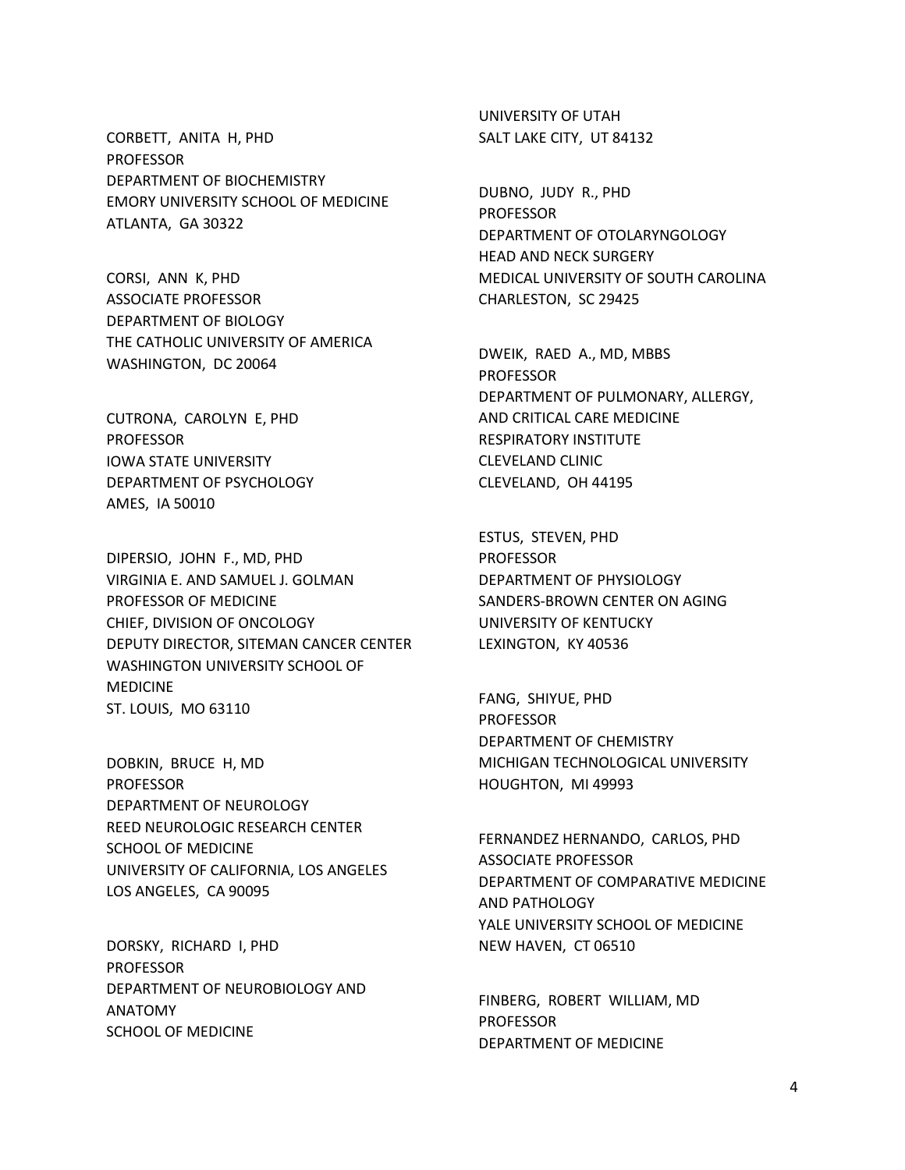CORBETT, ANITA H, PHD PROFESSOR DEPARTMENT OF BIOCHEMISTRY EMORY UNIVERSITY SCHOOL OF MEDICINE ATLANTA, GA 30322

CORSI, ANN K, PHD ASSOCIATE PROFESSOR DEPARTMENT OF BIOLOGY THE CATHOLIC UNIVERSITY OF AMERICA WASHINGTON, DC 20064

CUTRONA, CAROLYN E, PHD PROFESSOR IOWA STATE UNIVERSITY DEPARTMENT OF PSYCHOLOGY AMES, IA 50010

DIPERSIO, JOHN F., MD, PHD VIRGINIA E. AND SAMUEL J. GOLMAN PROFESSOR OF MEDICINE CHIEF, DIVISION OF ONCOLOGY DEPUTY DIRECTOR, SITEMAN CANCER CENTER WASHINGTON UNIVERSITY SCHOOL OF MEDICINE ST. LOUIS, MO 63110

DOBKIN, BRUCE H, MD PROFESSOR DEPARTMENT OF NEUROLOGY REED NEUROLOGIC RESEARCH CENTER SCHOOL OF MEDICINE UNIVERSITY OF CALIFORNIA, LOS ANGELES LOS ANGELES, CA 90095

DORSKY, RICHARD I, PHD PROFESSOR DEPARTMENT OF NEUROBIOLOGY AND ANATOMY SCHOOL OF MEDICINE

UNIVERSITY OF UTAH SALT LAKE CITY, UT 84132

DUBNO, JUDY R., PHD PROFESSOR DEPARTMENT OF OTOLARYNGOLOGY HEAD AND NECK SURGERY MEDICAL UNIVERSITY OF SOUTH CAROLINA CHARLESTON, SC 29425

DWEIK, RAED A., MD, MBBS PROFESSOR DEPARTMENT OF PULMONARY, ALLERGY, AND CRITICAL CARE MEDICINE RESPIRATORY INSTITUTE CLEVELAND CLINIC CLEVELAND, OH 44195

ESTUS, STEVEN, PHD PROFESSOR DEPARTMENT OF PHYSIOLOGY SANDERS-BROWN CENTER ON AGING UNIVERSITY OF KENTUCKY LEXINGTON, KY 40536

FANG, SHIYUE, PHD PROFESSOR DEPARTMENT OF CHEMISTRY MICHIGAN TECHNOLOGICAL UNIVERSITY HOUGHTON, MI 49993

FERNANDEZ HERNANDO, CARLOS, PHD ASSOCIATE PROFESSOR DEPARTMENT OF COMPARATIVE MEDICINE AND PATHOLOGY YALE UNIVERSITY SCHOOL OF MEDICINE NEW HAVEN, CT 06510

FINBERG, ROBERT WILLIAM, MD PROFESSOR DEPARTMENT OF MEDICINE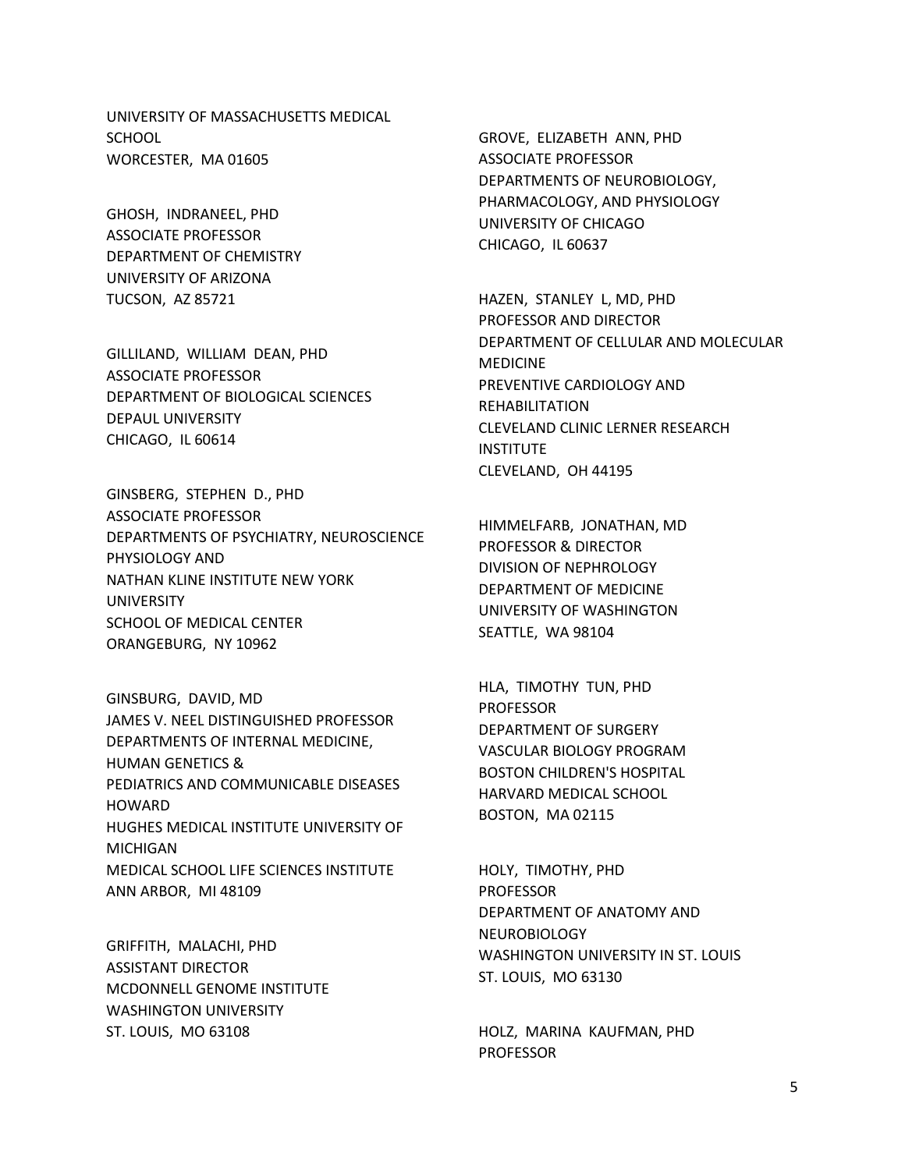UNIVERSITY OF MASSACHUSETTS MEDICAL **SCHOOL** WORCESTER, MA 01605

GHOSH, INDRANEEL, PHD ASSOCIATE PROFESSOR DEPARTMENT OF CHEMISTRY UNIVERSITY OF ARIZONA TUCSON, AZ 85721

GILLILAND, WILLIAM DEAN, PHD ASSOCIATE PROFESSOR DEPARTMENT OF BIOLOGICAL SCIENCES DEPAUL UNIVERSITY CHICAGO, IL 60614

GINSBERG, STEPHEN D., PHD ASSOCIATE PROFESSOR DEPARTMENTS OF PSYCHIATRY, NEUROSCIENCE PHYSIOLOGY AND NATHAN KLINE INSTITUTE NEW YORK UNIVERSITY SCHOOL OF MEDICAL CENTER ORANGEBURG, NY 10962

GINSBURG, DAVID, MD JAMES V. NEEL DISTINGUISHED PROFESSOR DEPARTMENTS OF INTERNAL MEDICINE, HUMAN GENETICS & PEDIATRICS AND COMMUNICABLE DISEASES HOWARD HUGHES MEDICAL INSTITUTE UNIVERSITY OF MICHIGAN MEDICAL SCHOOL LIFE SCIENCES INSTITUTE ANN ARBOR, MI 48109

GRIFFITH, MALACHI, PHD ASSISTANT DIRECTOR MCDONNELL GENOME INSTITUTE WASHINGTON UNIVERSITY ST. LOUIS, MO 63108

GROVE, ELIZABETH ANN, PHD ASSOCIATE PROFESSOR DEPARTMENTS OF NEUROBIOLOGY, PHARMACOLOGY, AND PHYSIOLOGY UNIVERSITY OF CHICAGO CHICAGO, IL 60637

HAZEN, STANLEY L, MD, PHD PROFESSOR AND DIRECTOR DEPARTMENT OF CELLULAR AND MOLECULAR MEDICINE PREVENTIVE CARDIOLOGY AND REHABILITATION CLEVELAND CLINIC LERNER RESEARCH **INSTITUTE** CLEVELAND, OH 44195

HIMMELFARB, JONATHAN, MD PROFESSOR & DIRECTOR DIVISION OF NEPHROLOGY DEPARTMENT OF MEDICINE UNIVERSITY OF WASHINGTON SEATTLE, WA 98104

HLA, TIMOTHY TUN, PHD PROFESSOR DEPARTMENT OF SURGERY VASCULAR BIOLOGY PROGRAM BOSTON CHILDREN'S HOSPITAL HARVARD MEDICAL SCHOOL BOSTON, MA 02115

HOLY, TIMOTHY, PHD PROFESSOR DEPARTMENT OF ANATOMY AND NEUROBIOLOGY WASHINGTON UNIVERSITY IN ST. LOUIS ST. LOUIS, MO 63130

HOLZ, MARINA KAUFMAN, PHD PROFESSOR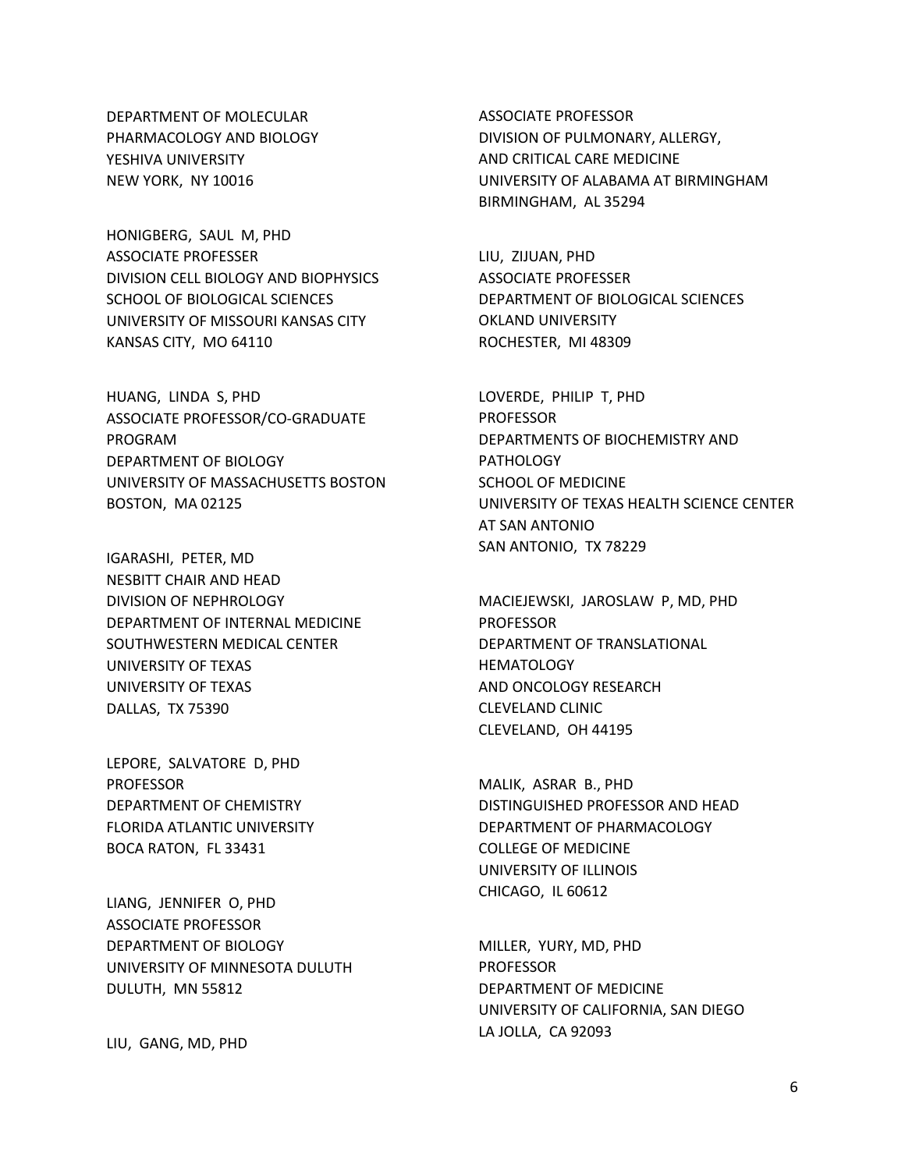DEPARTMENT OF MOLECULAR PHARMACOLOGY AND BIOLOGY YESHIVA UNIVERSITY NEW YORK, NY 10016

HONIGBERG, SAUL M, PHD ASSOCIATE PROFESSER DIVISION CELL BIOLOGY AND BIOPHYSICS SCHOOL OF BIOLOGICAL SCIENCES UNIVERSITY OF MISSOURI KANSAS CITY KANSAS CITY, MO 64110

HUANG, LINDA S, PHD ASSOCIATE PROFESSOR/CO-GRADUATE PROGRAM DEPARTMENT OF BIOLOGY UNIVERSITY OF MASSACHUSETTS BOSTON BOSTON, MA 02125

IGARASHI, PETER, MD NESBITT CHAIR AND HEAD DIVISION OF NEPHROLOGY DEPARTMENT OF INTERNAL MEDICINE SOUTHWESTERN MEDICAL CENTER UNIVERSITY OF TEXAS UNIVERSITY OF TEXAS DALLAS, TX 75390

LEPORE, SALVATORE D, PHD PROFESSOR DEPARTMENT OF CHEMISTRY FLORIDA ATLANTIC UNIVERSITY BOCA RATON, FL 33431

LIANG, JENNIFER O, PHD ASSOCIATE PROFESSOR DEPARTMENT OF BIOLOGY UNIVERSITY OF MINNESOTA DULUTH DULUTH, MN 55812

LIU, GANG, MD, PHD

ASSOCIATE PROFESSOR DIVISION OF PULMONARY, ALLERGY, AND CRITICAL CARE MEDICINE UNIVERSITY OF ALABAMA AT BIRMINGHAM BIRMINGHAM, AL 35294

LIU, ZIJUAN, PHD ASSOCIATE PROFESSER DEPARTMENT OF BIOLOGICAL SCIENCES OKLAND UNIVERSITY ROCHESTER, MI 48309

LOVERDE, PHILIP T, PHD PROFESSOR DEPARTMENTS OF BIOCHEMISTRY AND **PATHOLOGY** SCHOOL OF MEDICINE UNIVERSITY OF TEXAS HEALTH SCIENCE CENTER AT SAN ANTONIO SAN ANTONIO, TX 78229

MACIEJEWSKI, JAROSLAW P, MD, PHD PROFESSOR DEPARTMENT OF TRANSLATIONAL **HEMATOLOGY** AND ONCOLOGY RESEARCH CLEVELAND CLINIC CLEVELAND, OH 44195

MALIK, ASRAR B., PHD DISTINGUISHED PROFESSOR AND HEAD DEPARTMENT OF PHARMACOLOGY COLLEGE OF MEDICINE UNIVERSITY OF ILLINOIS CHICAGO, IL 60612

MILLER, YURY, MD, PHD PROFESSOR DEPARTMENT OF MEDICINE UNIVERSITY OF CALIFORNIA, SAN DIEGO LA JOLLA, CA 92093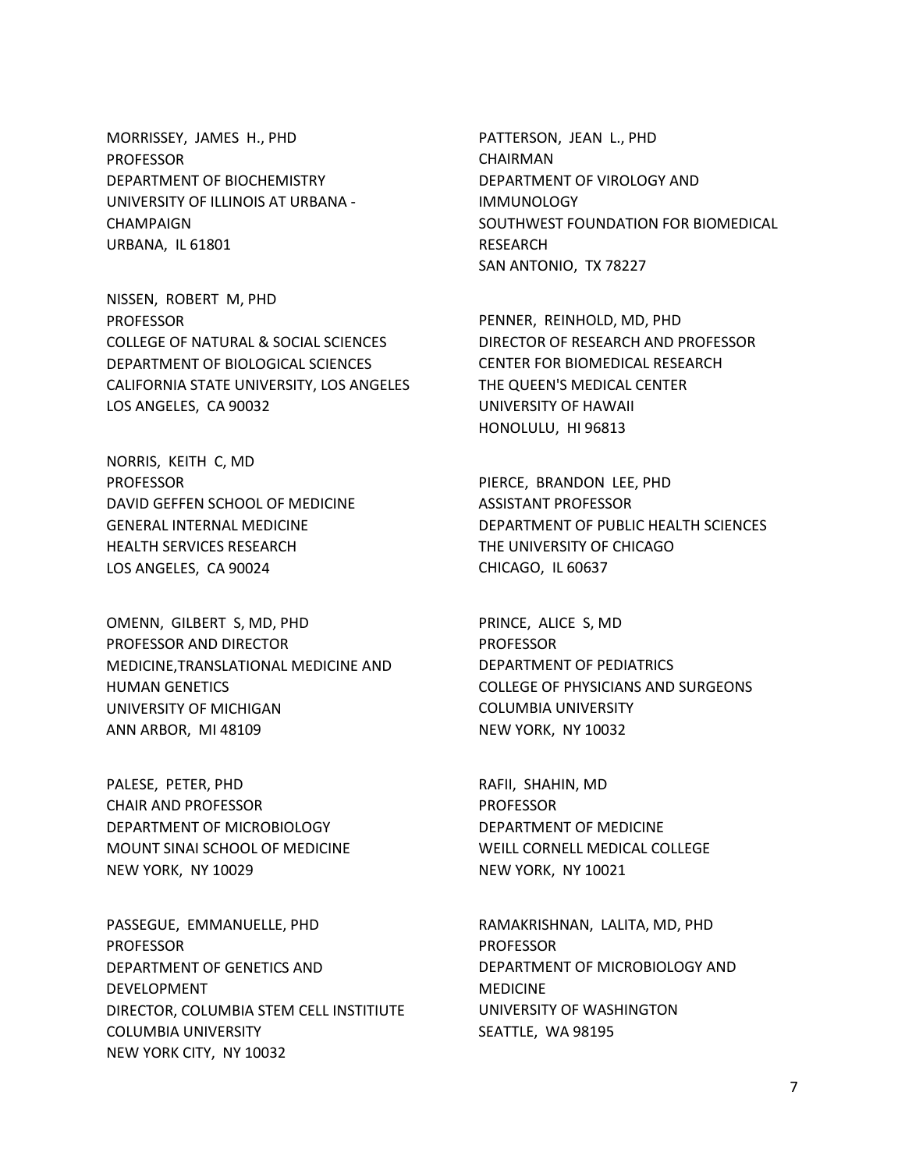MORRISSEY, JAMES H., PHD PROFESSOR DEPARTMENT OF BIOCHEMISTRY UNIVERSITY OF ILLINOIS AT URBANA - CHAMPAIGN URBANA, IL 61801

NISSEN, ROBERT M, PHD **PROFESSOR** COLLEGE OF NATURAL & SOCIAL SCIENCES DEPARTMENT OF BIOLOGICAL SCIENCES CALIFORNIA STATE UNIVERSITY, LOS ANGELES LOS ANGELES, CA 90032

NORRIS, KEITH C, MD PROFESSOR DAVID GEFFEN SCHOOL OF MEDICINE GENERAL INTERNAL MEDICINE HEALTH SERVICES RESEARCH LOS ANGELES, CA 90024

OMENN, GILBERT S, MD, PHD PROFESSOR AND DIRECTOR MEDICINE,TRANSLATIONAL MEDICINE AND HUMAN GENETICS UNIVERSITY OF MICHIGAN ANN ARBOR, MI 48109

PALESE, PETER, PHD CHAIR AND PROFESSOR DEPARTMENT OF MICROBIOLOGY MOUNT SINAI SCHOOL OF MEDICINE NEW YORK, NY 10029

PASSEGUE, EMMANUELLE, PHD PROFESSOR DEPARTMENT OF GENETICS AND DEVELOPMENT DIRECTOR, COLUMBIA STEM CELL INSTITIUTE COLUMBIA UNIVERSITY NEW YORK CITY, NY 10032

PATTERSON, JEAN L., PHD CHAIRMAN DEPARTMENT OF VIROLOGY AND **IMMUNOLOGY** SOUTHWEST FOUNDATION FOR BIOMEDICAL RESEARCH SAN ANTONIO, TX 78227

PENNER, REINHOLD, MD, PHD DIRECTOR OF RESEARCH AND PROFESSOR CENTER FOR BIOMEDICAL RESEARCH THE QUEEN'S MEDICAL CENTER UNIVERSITY OF HAWAII HONOLULU, HI 96813

PIERCE, BRANDON LEE, PHD ASSISTANT PROFESSOR DEPARTMENT OF PUBLIC HEALTH SCIENCES THE UNIVERSITY OF CHICAGO CHICAGO, IL 60637

PRINCE, ALICE S, MD PROFESSOR DEPARTMENT OF PEDIATRICS COLLEGE OF PHYSICIANS AND SURGEONS COLUMBIA UNIVERSITY NEW YORK, NY 10032

RAFII, SHAHIN, MD PROFESSOR DEPARTMENT OF MEDICINE WEILL CORNELL MEDICAL COLLEGE NEW YORK, NY 10021

RAMAKRISHNAN, LALITA, MD, PHD PROFESSOR DEPARTMENT OF MICROBIOLOGY AND MEDICINE UNIVERSITY OF WASHINGTON SEATTLE, WA 98195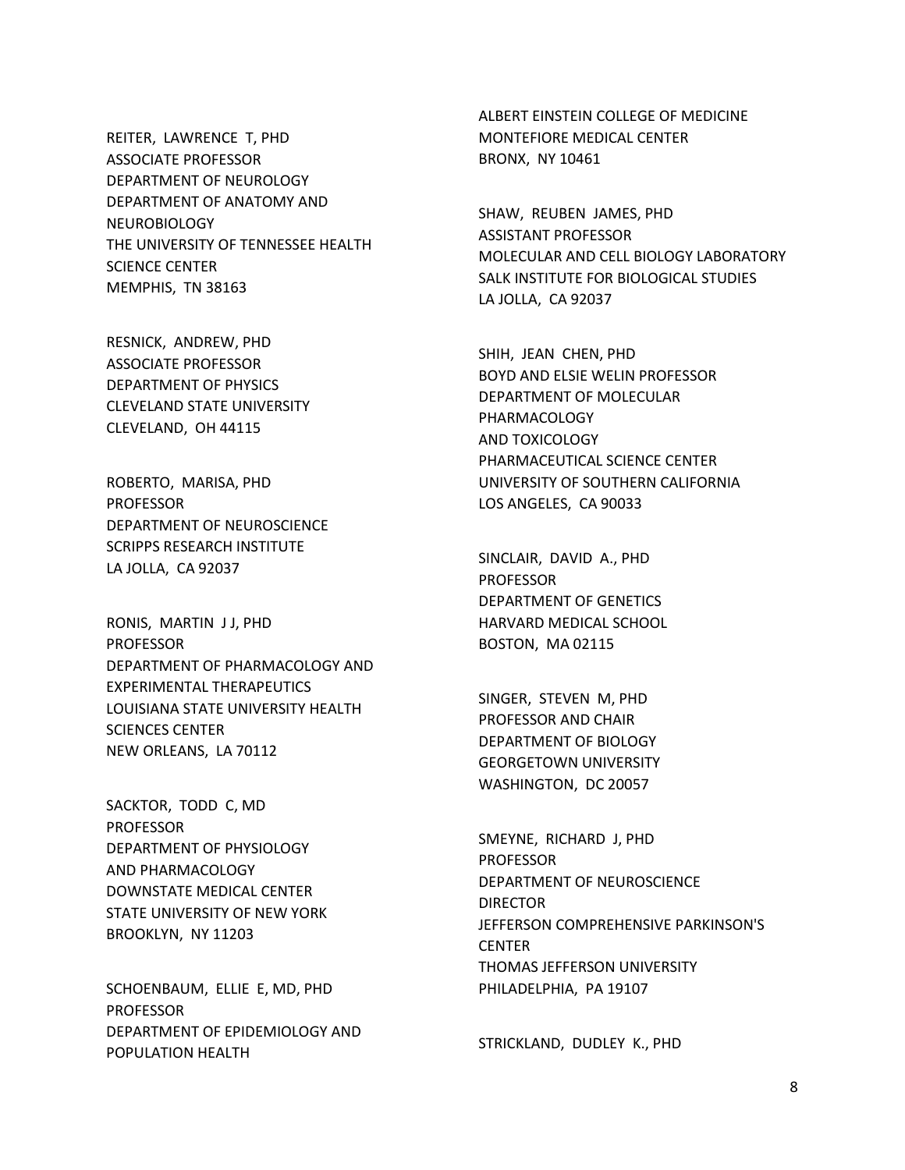REITER, LAWRENCE T, PHD ASSOCIATE PROFESSOR DEPARTMENT OF NEUROLOGY DEPARTMENT OF ANATOMY AND NEUROBIOLOGY THE UNIVERSITY OF TENNESSEE HEALTH SCIENCE CENTER MEMPHIS, TN 38163

RESNICK, ANDREW, PHD ASSOCIATE PROFESSOR DEPARTMENT OF PHYSICS CLEVELAND STATE UNIVERSITY CLEVELAND, OH 44115

ROBERTO, MARISA, PHD PROFESSOR DEPARTMENT OF NEUROSCIENCE SCRIPPS RESEARCH INSTITUTE LA JOLLA, CA 92037

RONIS, MARTIN J J, PHD PROFESSOR DEPARTMENT OF PHARMACOLOGY AND EXPERIMENTAL THERAPEUTICS LOUISIANA STATE UNIVERSITY HEALTH SCIENCES CENTER NEW ORLEANS, LA 70112

SACKTOR, TODD C, MD PROFESSOR DEPARTMENT OF PHYSIOLOGY AND PHARMACOLOGY DOWNSTATE MEDICAL CENTER STATE UNIVERSITY OF NEW YORK BROOKLYN, NY 11203

SCHOENBAUM, ELLIE E, MD, PHD PROFESSOR DEPARTMENT OF EPIDEMIOLOGY AND POPULATION HEALTH

ALBERT EINSTEIN COLLEGE OF MEDICINE MONTEFIORE MEDICAL CENTER BRONX, NY 10461

SHAW, REUBEN JAMES, PHD ASSISTANT PROFESSOR MOLECULAR AND CELL BIOLOGY LABORATORY SALK INSTITUTE FOR BIOLOGICAL STUDIES LA JOLLA, CA 92037

SHIH, JEAN CHEN, PHD BOYD AND ELSIE WELIN PROFESSOR DEPARTMENT OF MOLECULAR PHARMACOLOGY AND TOXICOLOGY PHARMACEUTICAL SCIENCE CENTER UNIVERSITY OF SOUTHERN CALIFORNIA LOS ANGELES, CA 90033

SINCLAIR, DAVID A., PHD PROFESSOR DEPARTMENT OF GENETICS HARVARD MEDICAL SCHOOL BOSTON, MA 02115

SINGER, STEVEN M, PHD PROFESSOR AND CHAIR DEPARTMENT OF BIOLOGY GEORGETOWN UNIVERSITY WASHINGTON, DC 20057

SMEYNE, RICHARD J, PHD PROFESSOR DEPARTMENT OF NEUROSCIENCE DIRECTOR JEFFERSON COMPREHENSIVE PARKINSON'S CENTER THOMAS JEFFERSON UNIVERSITY PHILADELPHIA, PA 19107

STRICKLAND, DUDLEY K., PHD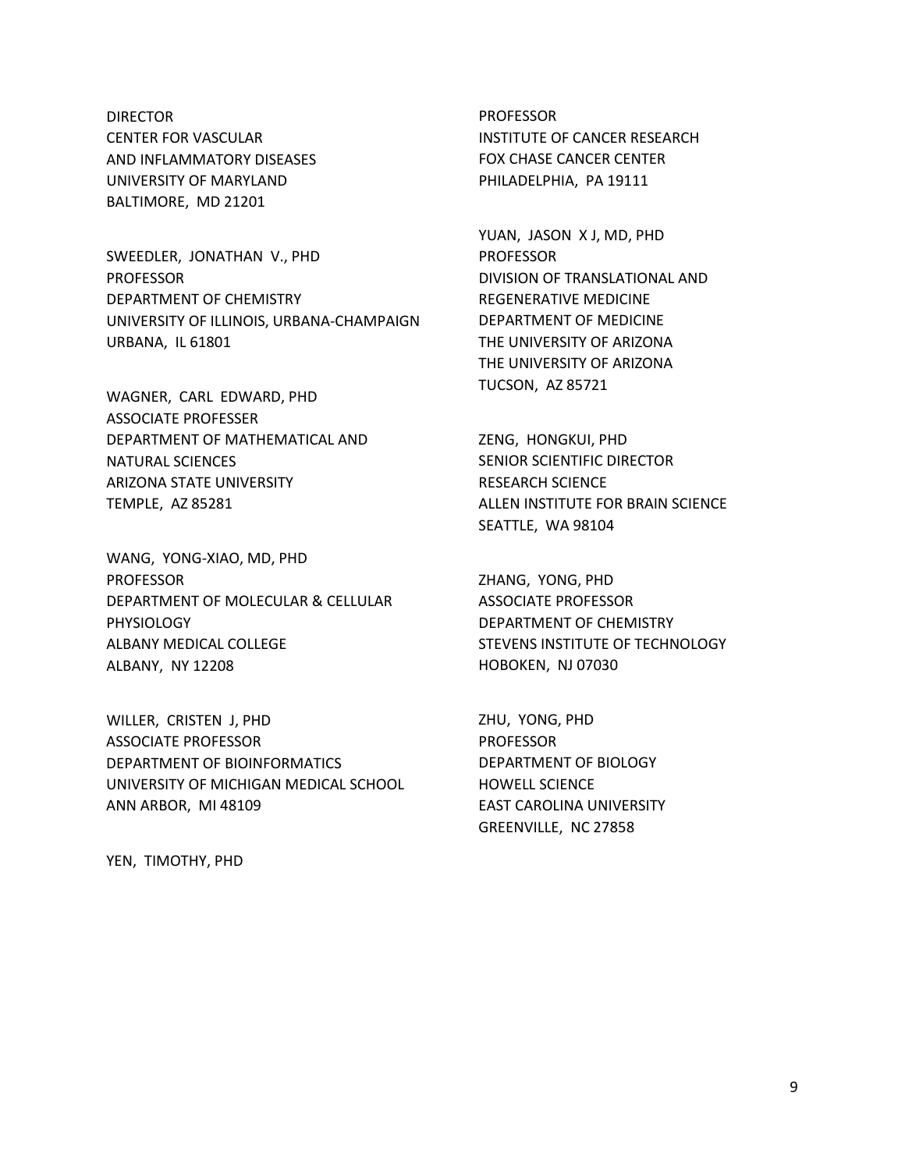## DIRECTOR CENTER FOR VASCULAR AND INFLAMMATORY DISEASES UNIVERSITY OF MARYLAND BALTIMORE, MD 21201

SWEEDLER, JONATHAN V., PHD PROFESSOR DEPARTMENT OF CHEMISTRY UNIVERSITY OF ILLINOIS, URBANA-CHAMPAIGN URBANA, IL 61801

WAGNER, CARL EDWARD, PHD ASSOCIATE PROFESSER DEPARTMENT OF MATHEMATICAL AND NATURAL SCIENCES ARIZONA STATE UNIVERSITY TEMPLE, AZ 85281

WANG, YONG-XIAO, MD, PHD PROFESSOR DEPARTMENT OF MOLECULAR & CELLULAR PHYSIOLOGY ALBANY MEDICAL COLLEGE ALBANY, NY 12208

WILLER, CRISTEN J, PHD ASSOCIATE PROFESSOR DEPARTMENT OF BIOINFORMATICS UNIVERSITY OF MICHIGAN MEDICAL SCHOOL ANN ARBOR, MI 48109

PROFESSOR INSTITUTE OF CANCER RESEARCH FOX CHASE CANCER CENTER PHILADELPHIA, PA 19111

YUAN, JASON X J, MD, PHD PROFESSOR DIVISION OF TRANSLATIONAL AND REGENERATIVE MEDICINE DEPARTMENT OF MEDICINE THE UNIVERSITY OF ARIZONA THE UNIVERSITY OF ARIZONA TUCSON, AZ 85721

ZENG, HONGKUI, PHD SENIOR SCIENTIFIC DIRECTOR RESEARCH SCIENCE ALLEN INSTITUTE FOR BRAIN SCIENCE SEATTLE, WA 98104

ZHANG, YONG, PHD ASSOCIATE PROFESSOR DEPARTMENT OF CHEMISTRY STEVENS INSTITUTE OF TECHNOLOGY HOBOKEN, NJ 07030

ZHU, YONG, PHD PROFESSOR DEPARTMENT OF BIOLOGY HOWELL SCIENCE EAST CAROLINA UNIVERSITY GREENVILLE, NC 27858

YEN, TIMOTHY, PHD